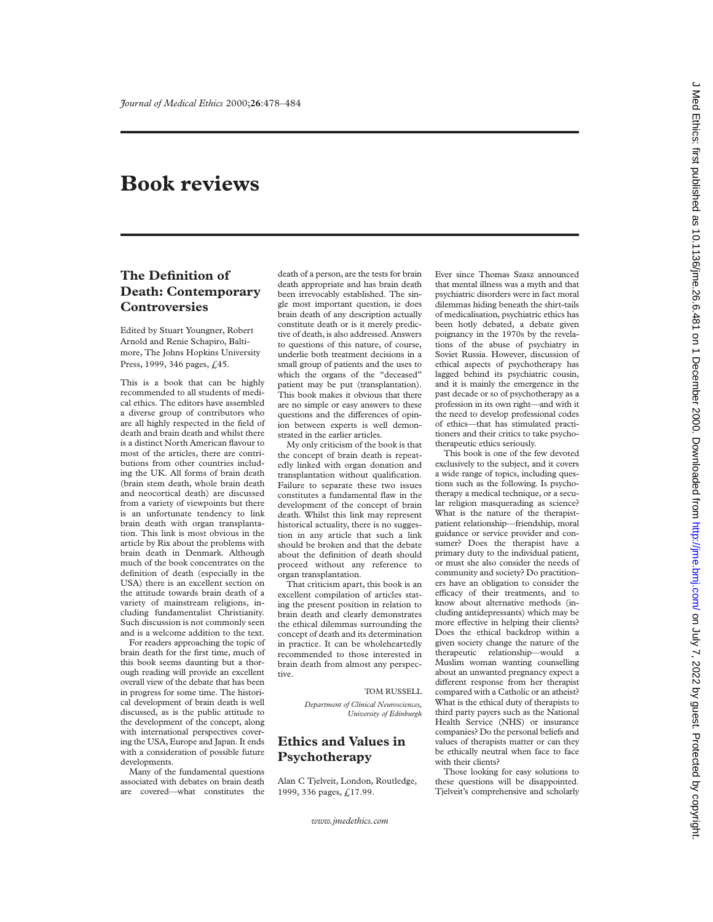# **Book reviews**

## **The Definition of Death: Contemporary Controversies**

Edited by Stuart Youngner, Robert Arnold and Renie Schapiro, Baltimore, The Johns Hopkins University Press, 1999, 346 pages, £45.

This is a book that can be highly recommended to all students of medical ethics. The editors have assembled a diverse group of contributors who are all highly respected in the field of death and brain death and whilst there is a distinct North American flavour to most of the articles, there are contributions from other countries including the UK. All forms of brain death (brain stem death, whole brain death and neocortical death) are discussed from a variety of viewpoints but there is an unfortunate tendency to link brain death with organ transplantation. This link is most obvious in the article by Rix about the problems with brain death in Denmark. Although much of the book concentrates on the definition of death (especially in the USA) there is an excellent section on the attitude towards brain death of a variety of mainstream religions, including fundamentalist Christianity. Such discussion is not commonly seen and is a welcome addition to the text.

For readers approaching the topic of brain death for the first time, much of this book seems daunting but a thorough reading will provide an excellent overall view of the debate that has been in progress for some time. The historical development of brain death is well discussed, as is the public attitude to the development of the concept, along with international perspectives covering the USA, Europe and Japan. It ends with a consideration of possible future developments.

Many of the fundamental questions associated with debates on brain death are covered—what constitutes the death of a person, are the tests for brain death appropriate and has brain death been irrevocably established. The single most important question, ie does brain death of any description actually constitute death or is it merely predictive of death, is also addressed. Answers to questions of this nature, of course, underlie both treatment decisions in a small group of patients and the uses to which the organs of the "deceased" patient may be put (transplantation). This book makes it obvious that there are no simple or easy answers to these questions and the differences of opinion between experts is well demonstrated in the earlier articles.

My only criticism of the book is that the concept of brain death is repeatedly linked with organ donation and transplantation without qualification. Failure to separate these two issues constitutes a fundamental flaw in the development of the concept of brain death. Whilst this link may represent historical actuality, there is no suggestion in any article that such a link should be broken and that the debate about the definition of death should proceed without any reference to organ transplantation.

That criticism apart, this book is an excellent compilation of articles stating the present position in relation to brain death and clearly demonstrates the ethical dilemmas surrounding the concept of death and its determination in practice. It can be wholeheartedly recommended to those interested in brain death from almost any perspective.

TOM RUSSELL

*Department of Clinical Neurosciences, University of Edinburgh*

### **Ethics and Values in Psychotherapy**

Alan C Tjelveit, London, Routledge, 1999, 336 pages, £17.99.

*www.jmedethics.com*

Ever since Thomas Szasz announced that mental illness was a myth and that psychiatric disorders were in fact moral dilemmas hiding beneath the shirt-tails of medicalisation, psychiatric ethics has been hotly debated, a debate given poignancy in the 1970s by the revelations of the abuse of psychiatry in Soviet Russia. However, discussion of ethical aspects of psychotherapy has lagged behind its psychiatric cousin, and it is mainly the emergence in the past decade or so of psychotherapy as a profession in its own right—and with it the need to develop professional codes of ethics—that has stimulated practitioners and their critics to take psychotherapeutic ethics seriously.

This book is one of the few devoted exclusively to the subject, and it covers a wide range of topics, including questions such as the following. Is psychotherapy a medical technique, or a secular religion masquerading as science? What is the nature of the therapistpatient relationship—friendship, moral guidance or service provider and consumer? Does the therapist have a primary duty to the individual patient, or must she also consider the needs of community and society? Do practitioners have an obligation to consider the efficacy of their treatments, and to know about alternative methods (including antidepressants) which may be more effective in helping their clients? Does the ethical backdrop within a given society change the nature of the therapeutic relationship—would a Muslim woman wanting counselling about an unwanted pregnancy expect a different response from her therapist compared with a Catholic or an atheist? What is the ethical duty of therapists to third party payers such as the National Health Service (NHS) or insurance companies? Do the personal beliefs and values of therapists matter or can they be ethically neutral when face to face with their clients?

Those looking for easy solutions to these questions will be disappointed. Tjelveit's comprehensive and scholarly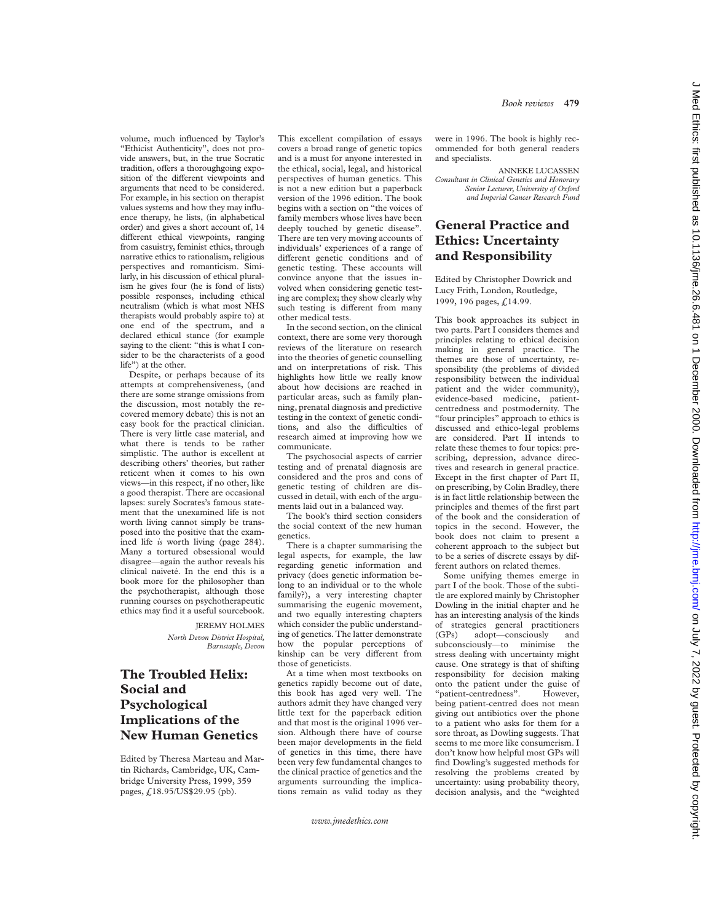volume, much influenced by Taylor's "Ethicist Authenticity", does not provide answers, but, in the true Socratic tradition, offers a thoroughgoing exposition of the different viewpoints and arguments that need to be considered. For example, in his section on therapist values systems and how they may influence therapy, he lists, (in alphabetical order) and gives a short account of, 14 different ethical viewpoints, ranging from casuistry, feminist ethics, through narrative ethics to rationalism, religious perspectives and romanticism. Similarly, in his discussion of ethical pluralism he gives four (he is fond of lists) possible responses, including ethical neutralism (which is what most NHS therapists would probably aspire to) at one end of the spectrum, and a declared ethical stance (for example saying to the client: "this is what I consider to be the characterists of a good life") at the other.

Despite, or perhaps because of its attempts at comprehensiveness, (and there are some strange omissions from the discussion, most notably the recovered memory debate) this is not an easy book for the practical clinician. There is very little case material, and what there is tends to be rather simplistic. The author is excellent at describing others' theories, but rather reticent when it comes to his own views—in this respect, if no other, like a good therapist. There are occasional lapses: surely Socrates's famous statement that the unexamined life is not worth living cannot simply be transposed into the positive that the examined life *is* worth living (page 284). Many a tortured obsessional would disagree—again the author reveals his clinical naiveté. In the end this is a book more for the philosopher than the psychotherapist, although those running courses on psychotherapeutic ethics may find it a useful sourcebook.

> **JEREMY HOLMES** *North Devon District Hospital, Barnstaple, Devon*

### **The Troubled Helix: Social and Psychological Implications of the New Human Genetics**

Edited by Theresa Marteau and Martin Richards, Cambridge, UK, Cambridge University Press, 1999, 359 pages, £18.95/US\$29.95 (pb).

This excellent compilation of essays covers a broad range of genetic topics and is a must for anyone interested in the ethical, social, legal, and historical perspectives of human genetics. This is not a new edition but a paperback version of the 1996 edition. The book begins with a section on "the voices of family members whose lives have been deeply touched by genetic disease". There are ten very moving accounts of individuals' experiences of a range of different genetic conditions and of genetic testing. These accounts will convince anyone that the issues involved when considering genetic testing are complex; they show clearly why such testing is different from many other medical tests.

In the second section, on the clinical context, there are some very thorough reviews of the literature on research into the theories of genetic counselling and on interpretations of risk. This highlights how little we really know about how decisions are reached in particular areas, such as family planning, prenatal diagnosis and predictive testing in the context of genetic conditions, and also the difficulties of research aimed at improving how we communicate.

The psychosocial aspects of carrier testing and of prenatal diagnosis are considered and the pros and cons of genetic testing of children are discussed in detail, with each of the arguments laid out in a balanced way.

The book's third section considers the social context of the new human genetics.

There is a chapter summarising the legal aspects, for example, the law regarding genetic information and privacy (does genetic information belong to an individual or to the whole family?), a very interesting chapter summarising the eugenic movement, and two equally interesting chapters which consider the public understanding of genetics. The latter demonstrate how the popular perceptions of kinship can be very different from those of geneticists.

At a time when most textbooks on genetics rapidly become out of date, this book has aged very well. The authors admit they have changed very little text for the paperback edition and that most is the original 1996 version. Although there have of course been major developments in the field of genetics in this time, there have been very few fundamental changes to the clinical practice of genetics and the arguments surrounding the implications remain as valid today as they were in 1996. The book is highly recommended for both general readers and specialists.

ANNEKE LUCASSEN *Consultant in Clinical Genetics and Honorary Senior Lecturer, University of Oxford and Imperial Cancer Research Fund*

# **General Practice and Ethics: Uncertainty and Responsibility**

Edited by Christopher Dowrick and Lucy Frith, London, Routledge, 1999, 196 pages, £14.99.

This book approaches its subject in two parts. Part I considers themes and principles relating to ethical decision making in general practice. The themes are those of uncertainty, responsibility (the problems of divided responsibility between the individual patient and the wider community), evidence-based medicine, patientcentredness and postmodernity. The "four principles" approach to ethics is discussed and ethico-legal problems are considered. Part II intends to relate these themes to four topics: prescribing, depression, advance directives and research in general practice. Except in the first chapter of Part II, on prescribing, by Colin Bradley, there is in fact little relationship between the principles and themes of the first part of the book and the consideration of topics in the second. However, the book does not claim to present a coherent approach to the subject but to be a series of discrete essays by different authors on related themes.

Some unifying themes emerge in part I of the book. Those of the subtitle are explored mainly by Christopher Dowling in the initial chapter and he has an interesting analysis of the kinds of strategies general practitioners<br>(GPs) adopt—consciously and adopt—consciously and<br>
iously—to minimise the subconsciously—to minimise stress dealing with uncertainty might cause. One strategy is that of shifting responsibility for decision making onto the patient under the guise of<br>"patient-centredness". However, "patient-centredness". being patient-centred does not mean giving out antibiotics over the phone to a patient who asks for them for a sore throat, as Dowling suggests. That seems to me more like consumerism. I don't know how helpful most GPs will find Dowling's suggested methods for resolving the problems created by uncertainty: using probability theory, decision analysis, and the "weighted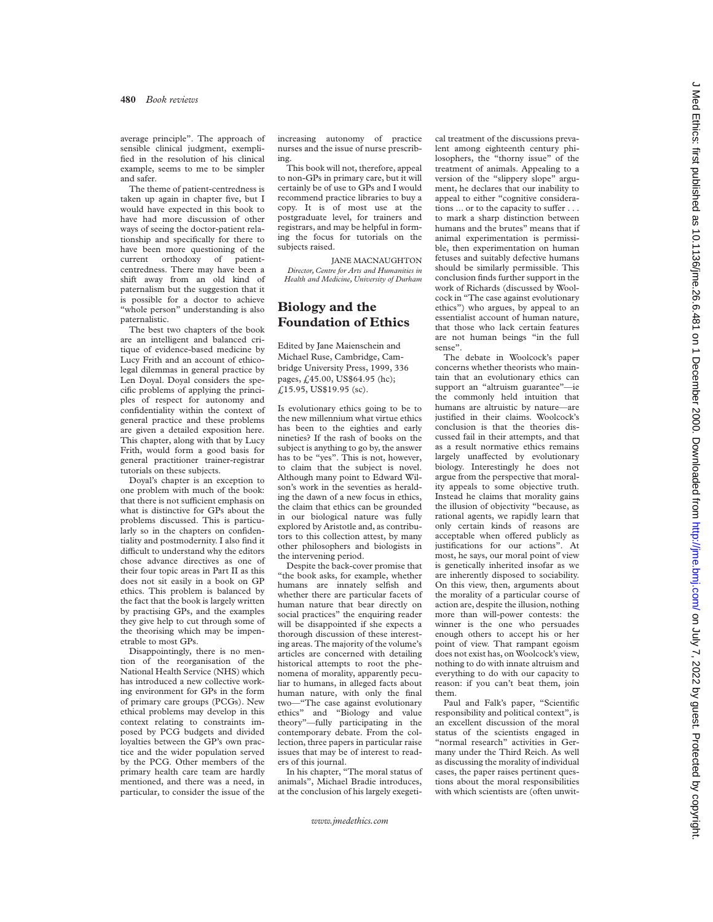ing. This book will not, therefore, appeal to non-GPs in primary care, but it will certainly be of use to GPs and I would recommend practice libraries to buy a copy. It is of most use at the postgraduate level, for trainers and registrars, and may be helpful in forming the focus for tutorials on the subjects raised.

JANE MACNAUGHTON *Director, Centre for Arts and Humanities in Health and Medicine, University of Durham*

### **Biology and the Foundation of Ethics**

Edited by Jane Maienschein and Michael Ruse, Cambridge, Cambridge University Press, 1999, 336 pages, £45.00, US\$64.95 (hc); £15.95, US\$19.95 (sc).

Is evolutionary ethics going to be to the new millennium what virtue ethics has been to the eighties and early nineties? If the rash of books on the subject is anything to go by, the answer has to be "yes". This is not, however, to claim that the subject is novel. Although many point to Edward Wilson's work in the seventies as heralding the dawn of a new focus in ethics, the claim that ethics can be grounded in our biological nature was fully explored by Aristotle and, as contributors to this collection attest, by many other philosophers and biologists in the intervening period.

Despite the back-cover promise that "the book asks, for example, whether humans are innately selfish and whether there are particular facets of human nature that bear directly on social practices" the enquiring reader will be disappointed if she expects a thorough discussion of these interesting areas. The majority of the volume's articles are concerned with detailing historical attempts to root the phenomena of morality, apparently peculiar to humans, in alleged facts about human nature, with only the final two—"The case against evolutionary ethics" and "Biology and value theory"—fully participating in the contemporary debate. From the collection, three papers in particular raise issues that may be of interest to readers of this journal.

In his chapter, "The moral status of animals", Michael Bradie introduces, at the conclusion of his largely exegetical treatment of the discussions prevalent among eighteenth century philosophers, the "thorny issue" of the treatment of animals. Appealing to a version of the "slippery slope" argument, he declares that our inability to appeal to either "cognitive considerations  $\ldots$  or to the capacity to suffer  $\ldots$ to mark a sharp distinction between humans and the brutes" means that if animal experimentation is permissible, then experimentation on human fetuses and suitably defective humans should be similarly permissible. This conclusion finds further support in the work of Richards (discussed by Woolcock in "The case against evolutionary ethics") who argues, by appeal to an essentialist account of human nature, that those who lack certain features are not human beings "in the full sense".

The debate in Woolcock's paper concerns whether theorists who maintain that an evolutionary ethics can support an "altruism guarantee"—ie the commonly held intuition that humans are altruistic by nature—are justified in their claims. Woolcock's conclusion is that the theories discussed fail in their attempts, and that as a result normative ethics remains largely unaffected by evolutionary biology. Interestingly he does not argue from the perspective that morality appeals to some objective truth. Instead he claims that morality gains the illusion of objectivity "because, as rational agents, we rapidly learn that only certain kinds of reasons are acceptable when offered publicly as justifications for our actions". At most, he says, our moral point of view is genetically inherited insofar as we are inherently disposed to sociability. On this view, then, arguments about the morality of a particular course of action are, despite the illusion, nothing more than will-power contests: the winner is the one who persuades enough others to accept his or her point of view. That rampant egoism does not exist has, on Woolcock's view, nothing to do with innate altruism and everything to do with our capacity to reason: if you can't beat them, join them.

Paul and Falk's paper, "Scientific responsibility and political context", is an excellent discussion of the moral status of the scientists engaged in "normal research" activities in Germany under the Third Reich. As well as discussing the morality of individual cases, the paper raises pertinent questions about the moral responsibilities with which scientists are (often unwit-

average principle". The approach of sensible clinical judgment, exemplified in the resolution of his clinical example, seems to me to be simpler and safer.

The theme of patient-centredness is taken up again in chapter five, but I would have expected in this book to have had more discussion of other ways of seeing the doctor-patient relationship and specifically for there to have been more questioning of the current orthodoxy of patientcentredness. There may have been a shift away from an old kind of paternalism but the suggestion that it is possible for a doctor to achieve "whole person" understanding is also paternalistic.

The best two chapters of the book are an intelligent and balanced critique of evidence-based medicine by Lucy Frith and an account of ethicolegal dilemmas in general practice by Len Doyal. Doyal considers the specific problems of applying the principles of respect for autonomy and confidentiality within the context of general practice and these problems are given a detailed exposition here. This chapter, along with that by Lucy Frith, would form a good basis for general practitioner trainer-registrar tutorials on these subjects.

Doyal's chapter is an exception to one problem with much of the book: that there is not sufficient emphasis on what is distinctive for GPs about the problems discussed. This is particularly so in the chapters on confidentiality and postmodernity. I also find it difficult to understand why the editors chose advance directives as one of their four topic areas in Part II as this does not sit easily in a book on GP ethics. This problem is balanced by the fact that the book is largely written by practising GPs, and the examples they give help to cut through some of the theorising which may be impenetrable to most GPs.

Disappointingly, there is no mention of the reorganisation of the National Health Service (NHS) which has introduced a new collective working environment for GPs in the form of primary care groups (PCGs). New ethical problems may develop in this context relating to constraints imposed by PCG budgets and divided loyalties between the GP's own practice and the wider population served by the PCG. Other members of the primary health care team are hardly mentioned, and there was a need, in particular, to consider the issue of the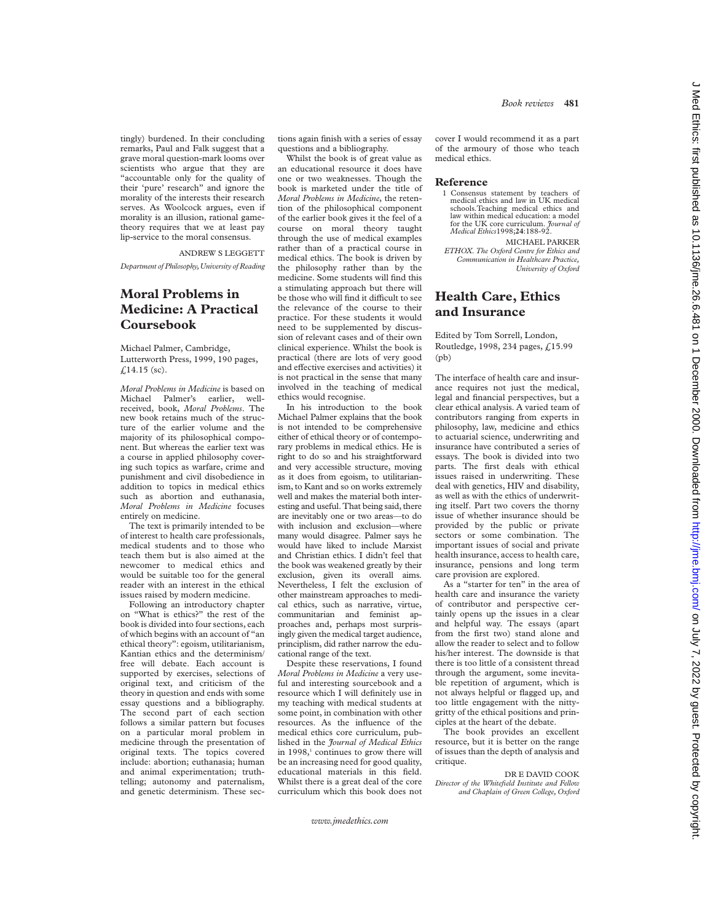tingly) burdened. In their concluding remarks, Paul and Falk suggest that a grave moral question-mark looms over scientists who argue that they are "accountable only for the quality of their 'pure' research" and ignore the morality of the interests their research serves. As Woolcock argues, even if morality is an illusion, rational gametheory requires that we at least pay lip-service to the moral consensus.

ANDREW S LEGGETT

*Department of Philosophy,University of Reading*

# **Moral Problems in Medicine: A Practical Coursebook**

Michael Palmer, Cambridge, Lutterworth Press, 1999, 190 pages,  $£14.15$  (sc).

*Moral Problems in Medicine* is based on Michael Palmer's earlier, wellreceived, book, *Moral Problems*. The new book retains much of the structure of the earlier volume and the majority of its philosophical component. But whereas the earlier text was a course in applied philosophy covering such topics as warfare, crime and punishment and civil disobedience in addition to topics in medical ethics such as abortion and euthanasia, *Moral Problems in Medicine* focuses entirely on medicine.

The text is primarily intended to be of interest to health care professionals, medical students and to those who teach them but is also aimed at the newcomer to medical ethics and would be suitable too for the general reader with an interest in the ethical issues raised by modern medicine.

Following an introductory chapter on "What is ethics?" the rest of the book is divided into four sections, each of which begins with an account of "an ethical theory": egoism, utilitarianism, Kantian ethics and the determinism/ free will debate. Each account is supported by exercises, selections of original text, and criticism of the theory in question and ends with some essay questions and a bibliography. The second part of each section follows a similar pattern but focuses on a particular moral problem in medicine through the presentation of original texts. The topics covered include: abortion; euthanasia; human and animal experimentation; truthtelling; autonomy and paternalism, and genetic determinism. These sections again finish with a series of essay questions and a bibliography.

Whilst the book is of great value as an educational resource it does have one or two weaknesses. Though the book is marketed under the title of *Moral Problems in Medicine*, the retention of the philosophical component of the earlier book gives it the feel of a course on moral theory taught through the use of medical examples rather than of a practical course in medical ethics. The book is driven by the philosophy rather than by the medicine. Some students will find this a stimulating approach but there will be those who will find it difficult to see the relevance of the course to their practice. For these students it would need to be supplemented by discussion of relevant cases and of their own clinical experience. Whilst the book is practical (there are lots of very good and effective exercises and activities) it is not practical in the sense that many involved in the teaching of medical ethics would recognise.

In his introduction to the book Michael Palmer explains that the book is not intended to be comprehensive either of ethical theory or of contemporary problems in medical ethics. He is right to do so and his straightforward and very accessible structure, moving as it does from egoism, to utilitarianism, to Kant and so on works extremely well and makes the material both interesting and useful. That being said, there are inevitably one or two areas—to do with inclusion and exclusion—where many would disagree. Palmer says he would have liked to include Marxist and Christian ethics. I didn't feel that the book was weakened greatly by their exclusion, given its overall aims. Nevertheless, I felt the exclusion of other mainstream approaches to medical ethics, such as narrative, virtue, communitarian and feminist approaches and, perhaps most surprisingly given the medical target audience, principlism, did rather narrow the educational range of the text.

Despite these reservations, I found *Moral Problems in Medicine* a very useful and interesting sourcebook and a resource which I will definitely use in my teaching with medical students at some point, in combination with other resources. As the influence of the medical ethics core curriculum, published in the *Journal of Medical Ethics* in 1998, <sup>1</sup> continues to grow there will be an increasing need for good quality, educational materials in this field. Whilst there is a great deal of the core curriculum which this book does not

#### *www.jmedethics.com*

cover I would recommend it as a part of the armoury of those who teach medical ethics.

#### **Reference**

1 Consensus statement by teachers of medical ethics and law in UK medical schools.Teaching medical ethics and law within medical education: a model for the UK core curriculum. *Journal of Medical Ethics*1998;**24**:188-92.

MICHAEL PARKER *ETHOX. The Oxford Centre for Ethics and Communication in Healthcare Practice, University of Oxford*

### **Health Care, Ethics and Insurance**

Edited by Tom Sorrell, London, Routledge, 1998, 234 pages, £15.99  $(hh)$ 

The interface of health care and insurance requires not just the medical, legal and financial perspectives, but a clear ethical analysis. A varied team of contributors ranging from experts in philosophy, law, medicine and ethics to actuarial science, underwriting and insurance have contributed a series of essays. The book is divided into two parts. The first deals with ethical issues raised in underwriting. These deal with genetics, HIV and disability, as well as with the ethics of underwriting itself. Part two covers the thorny issue of whether insurance should be provided by the public or private sectors or some combination. The important issues of social and private health insurance, access to health care, insurance, pensions and long term care provision are explored.

 on July 7, 2022 by guest. Protected by copyright. <http://jme.bmj.com/> J Med Ethics: first published as 10.1136/jme.26.6.481 on 1 December 2000. Downloaded from Med Ethics: first published as 10.1136/jme.26.6.481 on 1 December 2000. Downloaded from http://jme.bmj.com/ on July 7, 2022 by guest. Protected by copyright

As a "starter for ten" in the area of health care and insurance the variety of contributor and perspective certainly opens up the issues in a clear and helpful way. The essays (apart from the first two) stand alone and allow the reader to select and to follow his/her interest. The downside is that there is too little of a consistent thread through the argument, some inevitable repetition of argument, which is not always helpful or flagged up, and too little engagement with the nittygritty of the ethical positions and principles at the heart of the debate.

The book provides an excellent resource, but it is better on the range of issues than the depth of analysis and critique.

DR E DAVID COOK *Director of the Whitefield Institute and Fellow and Chaplain of Green College, Oxford*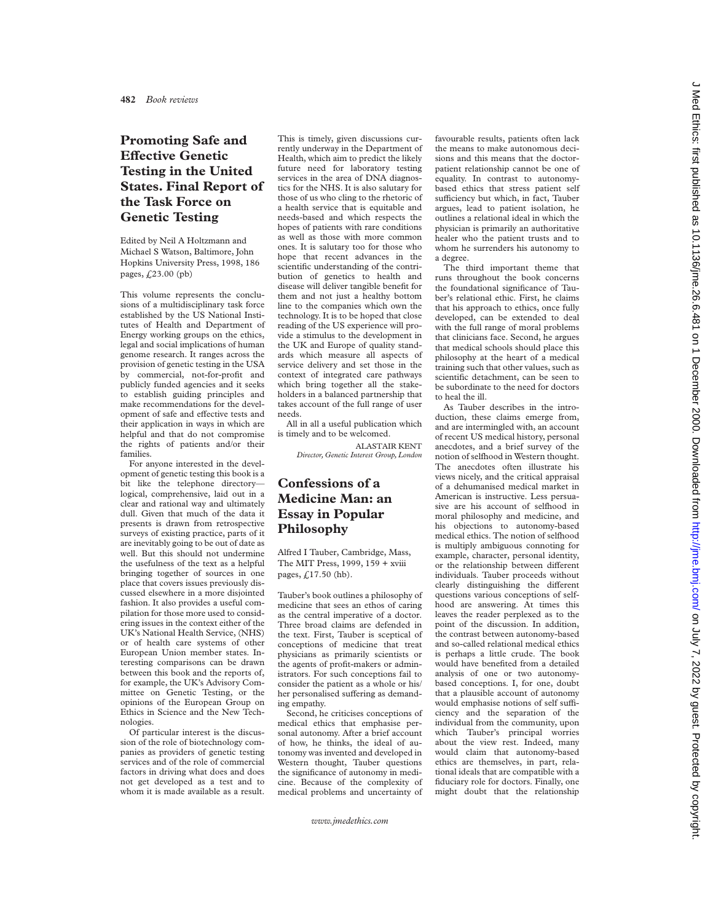# **Promoting Safe and Effective Genetic Testing in the United States. Final Report of the Task Force on Genetic Testing**

Edited by Neil A Holtzmann and Michael S Watson, Baltimore, John Hopkins University Press, 1998, 186 pages,  $f(23.00$  (pb)

This volume represents the conclusions of a multidisciplinary task force established by the US National Institutes of Health and Department of Energy working groups on the ethics, legal and social implications of human genome research. It ranges across the provision of genetic testing in the USA by commercial, not-for-profit and publicly funded agencies and it seeks to establish guiding principles and make recommendations for the development of safe and effective tests and their application in ways in which are helpful and that do not compromise the rights of patients and/or their families.

For anyone interested in the development of genetic testing this book is a bit like the telephone directory logical, comprehensive, laid out in a clear and rational way and ultimately dull. Given that much of the data it presents is drawn from retrospective surveys of existing practice, parts of it are inevitably going to be out of date as well. But this should not undermine the usefulness of the text as a helpful bringing together of sources in one place that covers issues previously discussed elsewhere in a more disjointed fashion. It also provides a useful compilation for those more used to considering issues in the context either of the UK's National Health Service, (NHS) or of health care systems of other European Union member states. Interesting comparisons can be drawn between this book and the reports of, for example, the UK's Advisory Committee on Genetic Testing, or the opinions of the European Group on Ethics in Science and the New Technologies.

Of particular interest is the discussion of the role of biotechnology companies as providers of genetic testing services and of the role of commercial factors in driving what does and does not get developed as a test and to whom it is made available as a result.

This is timely, given discussions currently underway in the Department of Health, which aim to predict the likely future need for laboratory testing services in the area of DNA diagnostics for the NHS. It is also salutary for those of us who cling to the rhetoric of a health service that is equitable and needs-based and which respects the hopes of patients with rare conditions as well as those with more common ones. It is salutary too for those who hope that recent advances in the scientific understanding of the contribution of genetics to health and disease will deliver tangible benefit for them and not just a healthy bottom line to the companies which own the technology. It is to be hoped that close reading of the US experience will provide a stimulus to the development in the UK and Europe of quality standards which measure all aspects of service delivery and set those in the context of integrated care pathways which bring together all the stakeholders in a balanced partnership that takes account of the full range of user needs.

All in all a useful publication which is timely and to be welcomed.

> ALASTAIR KENT *Director, Genetic Interest Group, London*

# **Confessions of a Medicine Man: an Essay in Popular Philosophy**

Alfred I Tauber, Cambridge, Mass, The MIT Press, 1999, 159 + xviii pages, £17.50 (hb).

Tauber's book outlines a philosophy of medicine that sees an ethos of caring as the central imperative of a doctor. Three broad claims are defended in the text. First, Tauber is sceptical of conceptions of medicine that treat physicians as primarily scientists or the agents of profit-makers or administrators. For such conceptions fail to consider the patient as a whole or his/ her personalised suffering as demanding empathy.

Second, he criticises conceptions of medical ethics that emphasise personal autonomy. After a brief account of how, he thinks, the ideal of autonomy was invented and developed in Western thought, Tauber questions the significance of autonomy in medicine. Because of the complexity of medical problems and uncertainty of favourable results, patients often lack the means to make autonomous decisions and this means that the doctorpatient relationship cannot be one of equality. In contrast to autonomybased ethics that stress patient self sufficiency but which, in fact, Tauber argues, lead to patient isolation, he outlines a relational ideal in which the physician is primarily an authoritative healer who the patient trusts and to whom he surrenders his autonomy to a degree.

The third important theme that runs throughout the book concerns the foundational significance of Tauber's relational ethic. First, he claims that his approach to ethics, once fully developed, can be extended to deal with the full range of moral problems that clinicians face. Second, he argues that medical schools should place this philosophy at the heart of a medical training such that other values, such as scientific detachment, can be seen to be subordinate to the need for doctors to heal the ill.

As Tauber describes in the introduction, these claims emerge from, and are intermingled with, an account of recent US medical history, personal anecdotes, and a brief survey of the notion of selfhood in Western thought. The anecdotes often illustrate his views nicely, and the critical appraisal of a dehumanised medical market in American is instructive. Less persuasive are his account of selfhood in moral philosophy and medicine, and his objections to autonomy-based medical ethics. The notion of selfhood is multiply ambiguous connoting for example, character, personal identity, or the relationship between different individuals. Tauber proceeds without clearly distinguishing the different questions various conceptions of selfhood are answering. At times this leaves the reader perplexed as to the point of the discussion. In addition, the contrast between autonomy-based and so-called relational medical ethics is perhaps a little crude. The book would have benefited from a detailed analysis of one or two autonomybased conceptions. I, for one, doubt that a plausible account of autonomy would emphasise notions of self sufficiency and the separation of the individual from the community, upon which Tauber's principal worries about the view rest. Indeed, many would claim that autonomy-based ethics are themselves, in part, relational ideals that are compatible with a fiduciary role for doctors. Finally, one might doubt that the relationship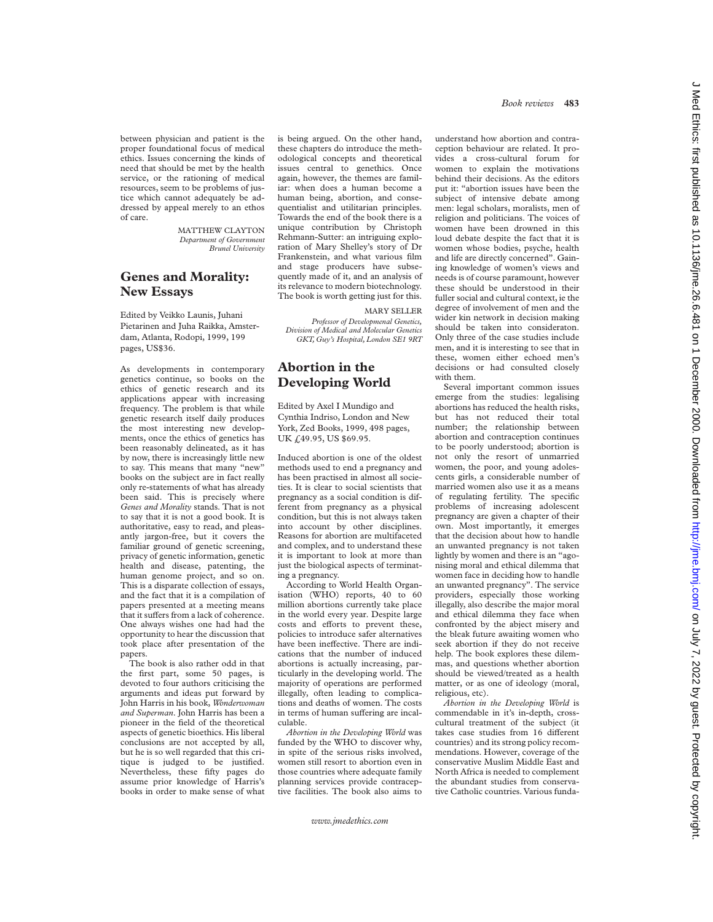between physician and patient is the proper foundational focus of medical ethics. Issues concerning the kinds of need that should be met by the health service, or the rationing of medical resources, seem to be problems of justice which cannot adequately be addressed by appeal merely to an ethos of care.

> MATTHEW CLAYTON *Department of Government Brunel University*

### **Genes and Morality: New Essays**

Edited by Veikko Launis, Juhani Pietarinen and Juha Raikka, Amsterdam, Atlanta, Rodopi, 1999, 199 pages, US\$36.

As developments in contemporary genetics continue, so books on the ethics of genetic research and its applications appear with increasing frequency. The problem is that while genetic research itself daily produces the most interesting new developments, once the ethics of genetics has been reasonably delineated, as it has by now, there is increasingly little new to say. This means that many "new" books on the subject are in fact really only re-statements of what has already been said. This is precisely where *Genes and Morality* stands. That is not to say that it is not a good book. It is authoritative, easy to read, and pleasantly jargon-free, but it covers the familiar ground of genetic screening, privacy of genetic information, genetic health and disease, patenting, the human genome project, and so on. This is a disparate collection of essays, and the fact that it is a compilation of papers presented at a meeting means that it suffers from a lack of coherence. One always wishes one had had the opportunity to hear the discussion that took place after presentation of the papers.

The book is also rather odd in that the first part, some 50 pages, is devoted to four authors criticising the arguments and ideas put forward by John Harris in his book, *Wonderwoman and Superman*. John Harris has been a pioneer in the field of the theoretical aspects of genetic bioethics. His liberal conclusions are not accepted by all, but he is so well regarded that this critique is judged to be justified. Nevertheless, these fifty pages do assume prior knowledge of Harris's books in order to make sense of what is being argued. On the other hand, these chapters do introduce the methodological concepts and theoretical issues central to genethics. Once again, however, the themes are familiar: when does a human become a human being, abortion, and consequentialist and utilitarian principles. Towards the end of the book there is a unique contribution by Christoph Rehmann-Sutter: an intriguing exploration of Mary Shelley's story of Dr Frankenstein, and what various film and stage producers have subsequently made of it, and an analysis of its relevance to modern biotechnology. The book is worth getting just for this.

MARY SELLER

*Professor of Developmenal Genetics, Division of Medical and Molecular Genetics GKT, Guy's Hospital, London SE1 9RT*

### **Abortion in the Developing World**

Edited by Axel I Mundigo and Cynthia Indriso, London and New York, Zed Books, 1999, 498 pages, UK £49.95, US \$69.95.

Induced abortion is one of the oldest methods used to end a pregnancy and has been practised in almost all societies. It is clear to social scientists that pregnancy as a social condition is different from pregnancy as a physical condition, but this is not always taken into account by other disciplines. Reasons for abortion are multifaceted and complex, and to understand these it is important to look at more than just the biological aspects of terminating a pregnancy.

According to World Health Organisation (WHO) reports, 40 to 60 million abortions currently take place in the world every year. Despite large costs and efforts to prevent these, policies to introduce safer alternatives have been ineffective. There are indications that the number of induced abortions is actually increasing, particularly in the developing world. The majority of operations are performed illegally, often leading to complications and deaths of women. The costs in terms of human suffering are incalculable.

*Abortion in the Developing World* was funded by the WHO to discover why, in spite of the serious risks involved, women still resort to abortion even in those countries where adequate family planning services provide contraceptive facilities. The book also aims to *Book reviews* **483**

understand how abortion and contraception behaviour are related. It provides a cross-cultural forum for women to explain the motivations behind their decisions. As the editors put it: "abortion issues have been the subject of intensive debate among men: legal scholars, moralists, men of religion and politicians. The voices of women have been drowned in this loud debate despite the fact that it is women whose bodies, psyche, health and life are directly concerned". Gaining knowledge of women's views and needs is of course paramount, however these should be understood in their fuller social and cultural context, ie the degree of involvement of men and the wider kin network in decision making should be taken into consideraton. Only three of the case studies include men, and it is interesting to see that in these, women either echoed men's decisions or had consulted closely with them.

Several important common issues emerge from the studies: legalising abortions has reduced the health risks, but has not reduced their total number; the relationship between abortion and contraception continues to be poorly understood; abortion is not only the resort of unmarried women, the poor, and young adolescents girls, a considerable number of married women also use it as a means of regulating fertility. The specific problems of increasing adolescent pregnancy are given a chapter of their own. Most importantly, it emerges that the decision about how to handle an unwanted pregnancy is not taken lightly by women and there is an "agonising moral and ethical dilemma that women face in deciding how to handle an unwanted pregnancy". The service providers, especially those working illegally, also describe the major moral and ethical dilemma they face when confronted by the abject misery and the bleak future awaiting women who seek abortion if they do not receive help. The book explores these dilemmas, and questions whether abortion should be viewed/treated as a health matter, or as one of ideology (moral, religious, etc).

*Abortion in the Developing World* is commendable in it's in-depth, crosscultural treatment of the subject (it takes case studies from 16 different countries) and its strong policy recommendations. However, coverage of the conservative Muslim Middle East and North Africa is needed to complement the abundant studies from conservative Catholic countries. Various funda